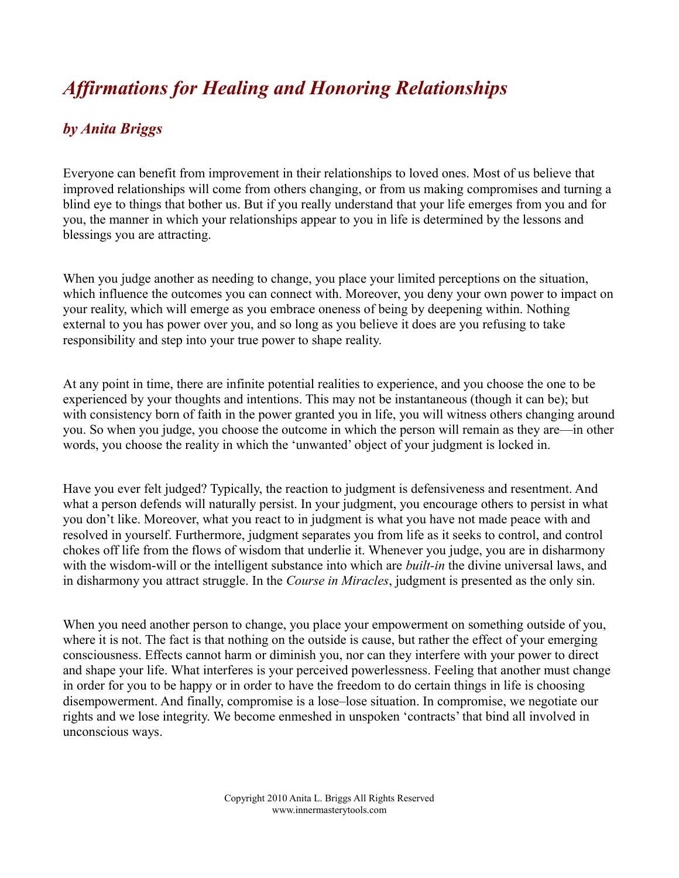## *Affirmations for Healing and Honoring Relationships*

## *by Anita Briggs*

Everyone can benefit from improvement in their relationships to loved ones. Most of us believe that improved relationships will come from others changing, or from us making compromises and turning a blind eye to things that bother us. But if you really understand that your life emerges from you and for you, the manner in which your relationships appear to you in life is determined by the lessons and blessings you are attracting.

When you judge another as needing to change, you place your limited perceptions on the situation, which influence the outcomes you can connect with. Moreover, you deny your own power to impact on your reality, which will emerge as you embrace oneness of being by deepening within. Nothing external to you has power over you, and so long as you believe it does are you refusing to take responsibility and step into your true power to shape reality.

At any point in time, there are infinite potential realities to experience, and you choose the one to be experienced by your thoughts and intentions. This may not be instantaneous (though it can be); but with consistency born of faith in the power granted you in life, you will witness others changing around you. So when you judge, you choose the outcome in which the person will remain as they are—in other words, you choose the reality in which the 'unwanted' object of your judgment is locked in.

Have you ever felt judged? Typically, the reaction to judgment is defensiveness and resentment. And what a person defends will naturally persist. In your judgment, you encourage others to persist in what you don't like. Moreover, what you react to in judgment is what you have not made peace with and resolved in yourself. Furthermore, judgment separates you from life as it seeks to control, and control chokes off life from the flows of wisdom that underlie it. Whenever you judge, you are in disharmony with the wisdom-will or the intelligent substance into which are *built-in* the divine universal laws, and in disharmony you attract struggle. In the *Course in Miracles*, judgment is presented as the only sin.

When you need another person to change, you place your empowerment on something outside of you, where it is not. The fact is that nothing on the outside is cause, but rather the effect of your emerging consciousness. Effects cannot harm or diminish you, nor can they interfere with your power to direct and shape your life. What interferes is your perceived powerlessness. Feeling that another must change in order for you to be happy or in order to have the freedom to do certain things in life is choosing disempowerment. And finally, compromise is a lose–lose situation. In compromise, we negotiate our rights and we lose integrity. We become enmeshed in unspoken 'contracts' that bind all involved in unconscious ways.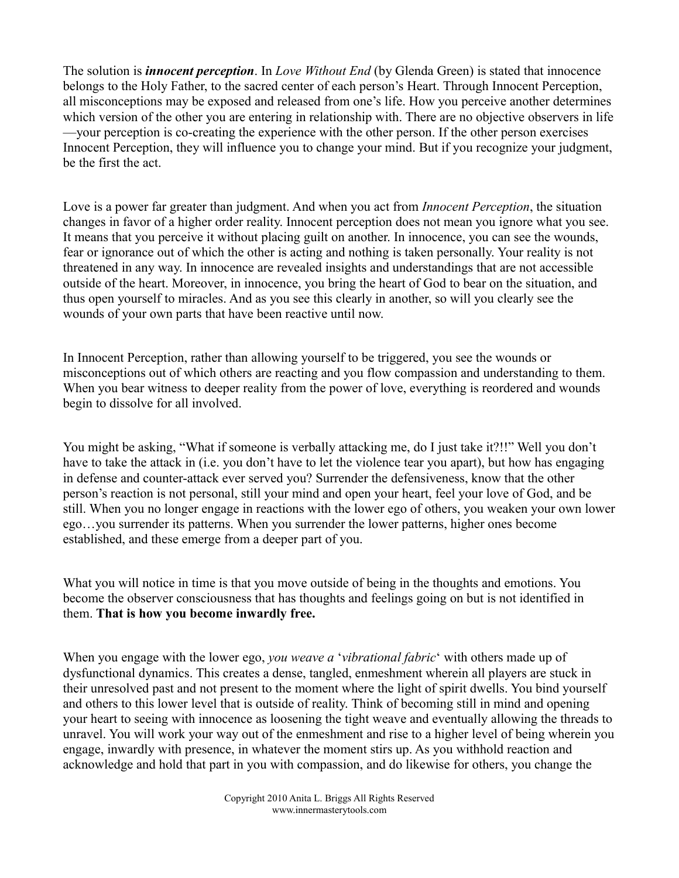The solution is *innocent perception*. In *Love Without End* (by Glenda Green) is stated that innocence belongs to the Holy Father, to the sacred center of each person's Heart. Through Innocent Perception, all misconceptions may be exposed and released from one's life. How you perceive another determines which version of the other you are entering in relationship with. There are no objective observers in life —your perception is co-creating the experience with the other person. If the other person exercises Innocent Perception, they will influence you to change your mind. But if you recognize your judgment, be the first the act.

Love is a power far greater than judgment. And when you act from *Innocent Perception*, the situation changes in favor of a higher order reality. Innocent perception does not mean you ignore what you see. It means that you perceive it without placing guilt on another. In innocence, you can see the wounds, fear or ignorance out of which the other is acting and nothing is taken personally. Your reality is not threatened in any way. In innocence are revealed insights and understandings that are not accessible outside of the heart. Moreover, in innocence, you bring the heart of God to bear on the situation, and thus open yourself to miracles. And as you see this clearly in another, so will you clearly see the wounds of your own parts that have been reactive until now.

In Innocent Perception, rather than allowing yourself to be triggered, you see the wounds or misconceptions out of which others are reacting and you flow compassion and understanding to them. When you bear witness to deeper reality from the power of love, everything is reordered and wounds begin to dissolve for all involved.

You might be asking, "What if someone is verbally attacking me, do I just take it?!!" Well you don't have to take the attack in (i.e. you don't have to let the violence tear you apart), but how has engaging in defense and counter-attack ever served you? Surrender the defensiveness, know that the other person's reaction is not personal, still your mind and open your heart, feel your love of God, and be still. When you no longer engage in reactions with the lower ego of others, you weaken your own lower ego…you surrender its patterns. When you surrender the lower patterns, higher ones become established, and these emerge from a deeper part of you.

What you will notice in time is that you move outside of being in the thoughts and emotions. You become the observer consciousness that has thoughts and feelings going on but is not identified in them. **That is how you become inwardly free.**

When you engage with the lower ego, *you weave a* '*vibrational fabric*' with others made up of dysfunctional dynamics. This creates a dense, tangled, enmeshment wherein all players are stuck in their unresolved past and not present to the moment where the light of spirit dwells. You bind yourself and others to this lower level that is outside of reality. Think of becoming still in mind and opening your heart to seeing with innocence as loosening the tight weave and eventually allowing the threads to unravel. You will work your way out of the enmeshment and rise to a higher level of being wherein you engage, inwardly with presence, in whatever the moment stirs up. As you withhold reaction and acknowledge and hold that part in you with compassion, and do likewise for others, you change the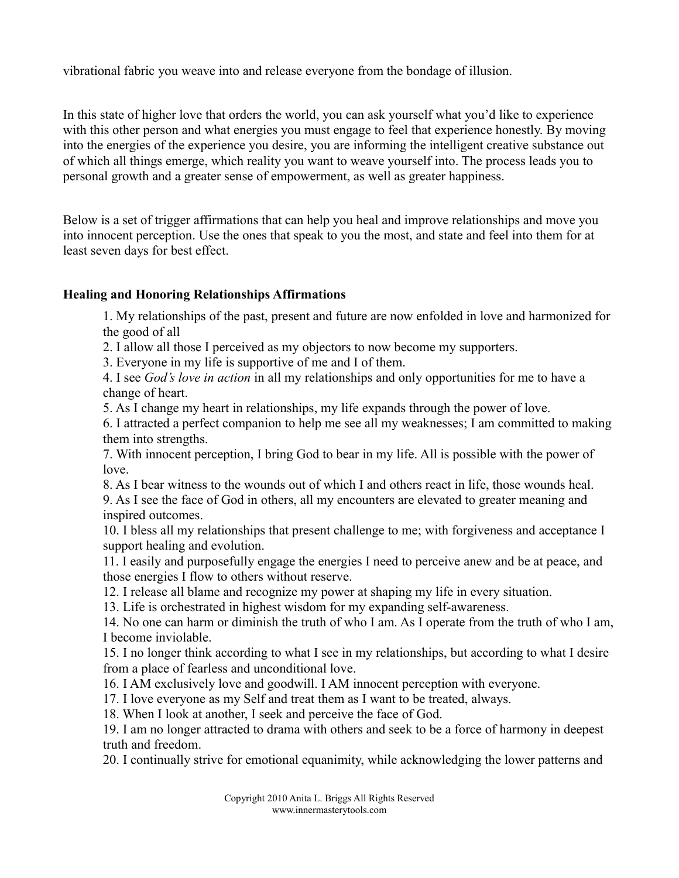vibrational fabric you weave into and release everyone from the bondage of illusion.

In this state of higher love that orders the world, you can ask yourself what you'd like to experience with this other person and what energies you must engage to feel that experience honestly. By moving into the energies of the experience you desire, you are informing the intelligent creative substance out of which all things emerge, which reality you want to weave yourself into. The process leads you to personal growth and a greater sense of empowerment, as well as greater happiness.

Below is a set of trigger affirmations that can help you heal and improve relationships and move you into innocent perception. Use the ones that speak to you the most, and state and feel into them for at least seven days for best effect.

## **Healing and Honoring Relationships Affirmations**

1. My relationships of the past, present and future are now enfolded in love and harmonized for the good of all

2. I allow all those I perceived as my objectors to now become my supporters.

3. Everyone in my life is supportive of me and I of them.

4. I see *God's love in action* in all my relationships and only opportunities for me to have a change of heart.

5. As I change my heart in relationships, my life expands through the power of love.

6. I attracted a perfect companion to help me see all my weaknesses; I am committed to making them into strengths.

7. With innocent perception, I bring God to bear in my life. All is possible with the power of love.

8. As I bear witness to the wounds out of which I and others react in life, those wounds heal.

9. As I see the face of God in others, all my encounters are elevated to greater meaning and inspired outcomes.

10. I bless all my relationships that present challenge to me; with forgiveness and acceptance I support healing and evolution.

11. I easily and purposefully engage the energies I need to perceive anew and be at peace, and those energies I flow to others without reserve.

12. I release all blame and recognize my power at shaping my life in every situation.

13. Life is orchestrated in highest wisdom for my expanding self-awareness.

14. No one can harm or diminish the truth of who I am. As I operate from the truth of who I am, I become inviolable.

15. I no longer think according to what I see in my relationships, but according to what I desire from a place of fearless and unconditional love.

16. I AM exclusively love and goodwill. I AM innocent perception with everyone.

17. I love everyone as my Self and treat them as I want to be treated, always.

18. When I look at another, I seek and perceive the face of God.

19. I am no longer attracted to drama with others and seek to be a force of harmony in deepest truth and freedom.

20. I continually strive for emotional equanimity, while acknowledging the lower patterns and